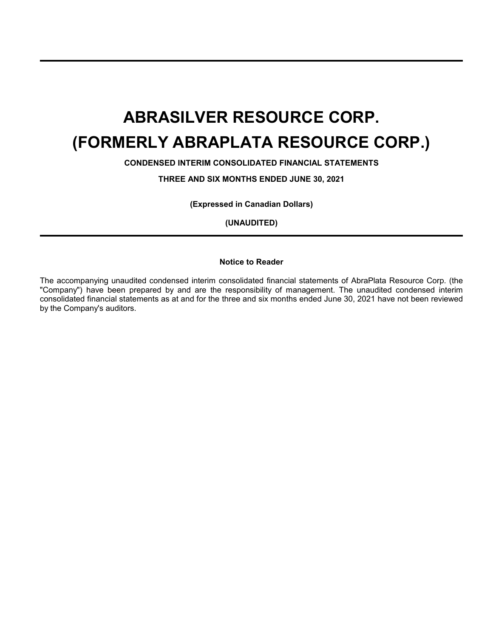**CONDENSED INTERIM CONSOLIDATED FINANCIAL STATEMENTS**

**THREE AND SIX MONTHS ENDED JUNE 30, 2021**

**(Expressed in Canadian Dollars)**

**(UNAUDITED)**

### **Notice to Reader**

The accompanying unaudited condensed interim consolidated financial statements of AbraPlata Resource Corp. (the "Company") have been prepared by and are the responsibility of management. The unaudited condensed interim consolidated financial statements as at and for the three and six months ended June 30, 2021 have not been reviewed by the Company's auditors.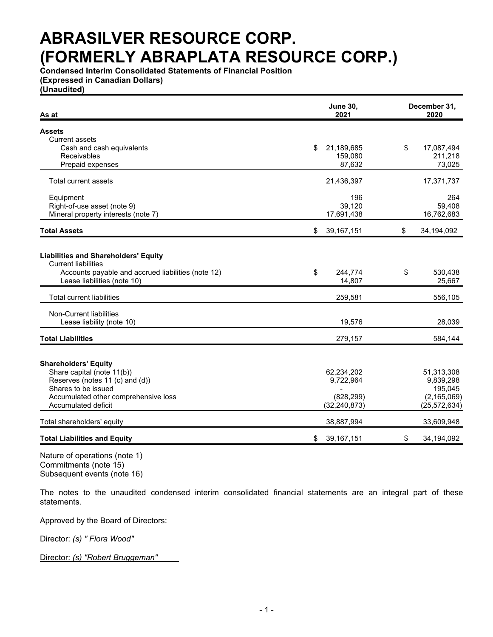**Condensed Interim Consolidated Statements of Financial Position (Expressed in Canadian Dollars)**

**(Unaudited)**

| As at                                                                                                                           | <b>June 30,</b><br>2021 | December 31,<br>2020     |
|---------------------------------------------------------------------------------------------------------------------------------|-------------------------|--------------------------|
| <b>Assets</b>                                                                                                                   |                         |                          |
| Current assets                                                                                                                  |                         |                          |
| Cash and cash equivalents                                                                                                       | 21,189,685<br>\$        | \$<br>17,087,494         |
| Receivables                                                                                                                     | 159,080                 | 211,218                  |
| Prepaid expenses                                                                                                                | 87,632                  | 73,025                   |
| <b>Total current assets</b>                                                                                                     | 21,436,397              | 17,371,737               |
| Equipment                                                                                                                       | 196                     | 264                      |
| Right-of-use asset (note 9)                                                                                                     | 39,120                  | 59,408                   |
| Mineral property interests (note 7)                                                                                             | 17,691,438              | 16,762,683               |
| <b>Total Assets</b>                                                                                                             | \$<br>39, 167, 151      | \$<br>34,194,092         |
| <b>Liabilities and Shareholders' Equity</b><br><b>Current liabilities</b><br>Accounts payable and accrued liabilities (note 12) | \$<br>244,774           | \$<br>530,438            |
| Lease liabilities (note 10)                                                                                                     | 14,807                  | 25,667                   |
| <b>Total current liabilities</b>                                                                                                | 259,581                 | 556,105                  |
| Non-Current liabilities                                                                                                         |                         |                          |
| Lease liability (note 10)                                                                                                       | 19,576                  | 28,039                   |
| <b>Total Liabilities</b>                                                                                                        | 279,157                 | 584,144                  |
|                                                                                                                                 |                         |                          |
| <b>Shareholders' Equity</b>                                                                                                     |                         |                          |
| Share capital (note 11(b))                                                                                                      | 62,234,202              | 51,313,308               |
| Reserves (notes 11 (c) and (d))<br>Shares to be issued                                                                          | 9,722,964               | 9,839,298                |
| Accumulated other comprehensive loss                                                                                            | (828, 299)              | 195,045<br>(2, 165, 069) |
| <b>Accumulated deficit</b>                                                                                                      | (32, 240, 873)          | (25, 572, 634)           |
|                                                                                                                                 |                         |                          |
| Total shareholders' equity                                                                                                      | 38,887,994              | 33,609,948               |
| <b>Total Liabilities and Equity</b>                                                                                             | \$<br>39, 167, 151      | \$<br>34,194,092         |

Nature of operations (note 1) Commitments (note 15) Subsequent events (note 16)

The notes to the unaudited condensed interim consolidated financial statements are an integral part of these statements.

Approved by the Board of Directors:

Director: *(s) " Flora Wood"*

Director: *(s) "Robert Bruggeman"*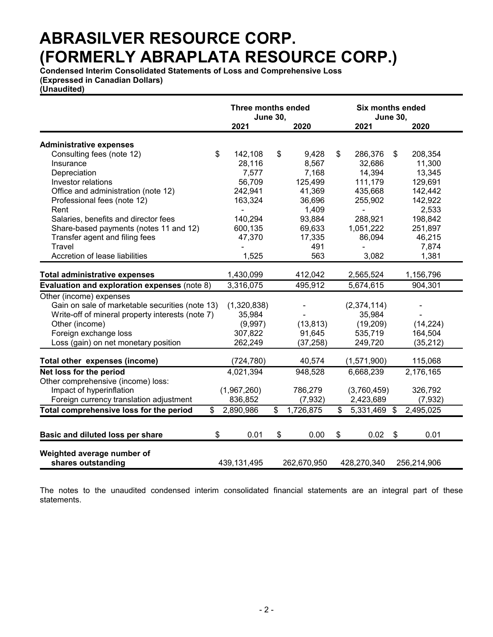**Condensed Interim Consolidated Statements of Loss and Comprehensive Loss (Expressed in Canadian Dollars)**

**(Unaudited)**

|                                                  | Three months ended<br><b>June 30,</b> |    |             |    | <b>Six months ended</b><br><b>June 30,</b> |                           |             |  |
|--------------------------------------------------|---------------------------------------|----|-------------|----|--------------------------------------------|---------------------------|-------------|--|
|                                                  | 2021                                  |    | 2020        |    | 2021                                       |                           | 2020        |  |
|                                                  |                                       |    |             |    |                                            |                           |             |  |
| <b>Administrative expenses</b><br>\$             |                                       | \$ | 9,428       | \$ |                                            |                           | 208,354     |  |
| Consulting fees (note 12)                        | 142,108                               |    |             |    | 286,376<br>32,686                          | \$                        |             |  |
| Insurance                                        | 28,116                                |    | 8,567       |    |                                            |                           | 11,300      |  |
| Depreciation                                     | 7,577                                 |    | 7,168       |    | 14,394                                     |                           | 13,345      |  |
| Investor relations                               | 56,709                                |    | 125,499     |    | 111,179                                    |                           | 129,691     |  |
| Office and administration (note 12)              | 242,941                               |    | 41,369      |    | 435,668                                    |                           | 142,442     |  |
| Professional fees (note 12)                      | 163,324                               |    | 36,696      |    | 255,902                                    |                           | 142,922     |  |
| Rent                                             |                                       |    | 1,409       |    | ä,                                         |                           | 2,533       |  |
| Salaries, benefits and director fees             | 140,294                               |    | 93,884      |    | 288,921                                    |                           | 198,842     |  |
| Share-based payments (notes 11 and 12)           | 600,135                               |    | 69,633      |    | 1,051,222                                  |                           | 251,897     |  |
| Transfer agent and filing fees                   | 47,370                                |    | 17,335      |    | 86,094                                     |                           | 46,215      |  |
| Travel                                           |                                       |    | 491         |    |                                            |                           | 7,874       |  |
| Accretion of lease liabilities                   | 1,525                                 |    | 563         |    | 3,082                                      |                           | 1,381       |  |
|                                                  |                                       |    |             |    |                                            |                           |             |  |
| <b>Total administrative expenses</b>             | 1,430,099                             |    | 412,042     |    | 2,565,524                                  |                           | 1,156,796   |  |
| Evaluation and exploration expenses (note 8)     | 3,316,075                             |    | 495,912     |    | 5,674,615                                  |                           | 904,301     |  |
| Other (income) expenses                          |                                       |    |             |    |                                            |                           |             |  |
| Gain on sale of marketable securities (note 13)  | (1,320,838)                           |    |             |    | (2,374,114)                                |                           |             |  |
| Write-off of mineral property interests (note 7) | 35,984                                |    |             |    | 35,984                                     |                           |             |  |
| Other (income)                                   | (9,997)                               |    | (13, 813)   |    | (19,209)                                   |                           | (14, 224)   |  |
| Foreign exchange loss                            | 307,822                               |    | 91,645      |    | 535,719                                    |                           | 164,504     |  |
| Loss (gain) on net monetary position             | 262,249                               |    | (37, 258)   |    | 249,720                                    |                           | (35, 212)   |  |
| Total other expenses (income)                    | (724, 780)                            |    | 40,574      |    | (1,571,900)                                |                           | 115,068     |  |
| Net loss for the period                          | 4,021,394                             |    | 948,528     |    | 6,668,239                                  |                           | 2,176,165   |  |
| Other comprehensive (income) loss:               |                                       |    |             |    |                                            |                           |             |  |
| Impact of hyperinflation                         | (1,967,260)                           |    | 786,279     |    | (3,760,459)                                |                           | 326,792     |  |
| Foreign currency translation adjustment          | 836,852                               |    | (7, 932)    |    | 2,423,689                                  |                           | (7, 932)    |  |
| Total comprehensive loss for the period<br>\$.   | 2,890,986                             | \$ | 1,726,875   | \$ | 5,331,469                                  | $\boldsymbol{\mathsf{s}}$ | 2,495,025   |  |
|                                                  |                                       |    |             |    |                                            |                           |             |  |
| \$                                               |                                       |    |             |    |                                            |                           |             |  |
| Basic and diluted loss per share                 | 0.01                                  | \$ | 0.00        | \$ | 0.02                                       | $\sqrt[6]{3}$             | 0.01        |  |
| Weighted average number of                       |                                       |    |             |    |                                            |                           |             |  |
| shares outstanding                               | 439, 131, 495                         |    | 262,670,950 |    | 428,270,340                                |                           | 256,214,906 |  |
|                                                  |                                       |    |             |    |                                            |                           |             |  |

The notes to the unaudited condensed interim consolidated financial statements are an integral part of these statements.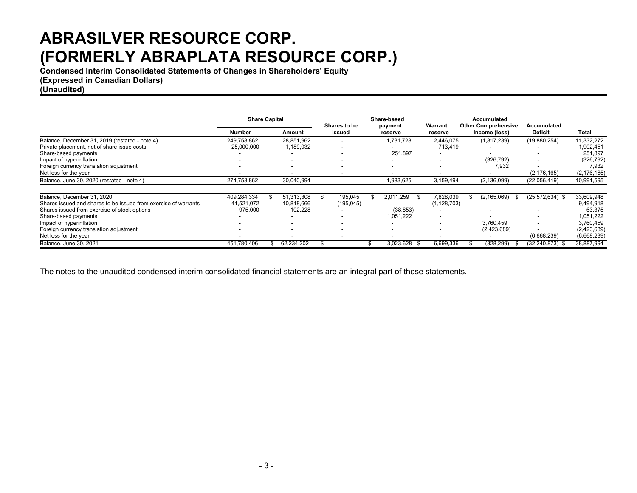**Condensed Interim Consolidated Statements of Changes in Shareholders' Equity**

**(Expressed in Canadian Dollars)**

**(Unaudited)**

|                                                                 | <b>Share Capital</b> |  | Shares to be |  | <b>Share-based</b><br>payment | Warrant           | Accumulated<br><b>Other Comprehensive</b> | Accumulated              |                     |               |
|-----------------------------------------------------------------|----------------------|--|--------------|--|-------------------------------|-------------------|-------------------------------------------|--------------------------|---------------------|---------------|
|                                                                 | Number               |  | Amount       |  | issued                        | reserve           | reserve                                   | Income (loss)            | <b>Deficit</b>      | <b>Total</b>  |
| Balance, December 31, 2019 (restated - note 4)                  | 249,758,862          |  | 28,851,962   |  |                               | 1,731,728         | 2,446,075                                 | (1,817,239)              | (19,880,254)        | 11,332,272    |
| Private placement, net of share issue costs                     | 25,000,000           |  | 1,189,032    |  |                               |                   | 713,419                                   |                          |                     | 1,902,451     |
| Share-based payments                                            |                      |  |              |  |                               | 251,897           |                                           |                          |                     | 251,897       |
| Impact of hyperinflation                                        |                      |  | -            |  |                               |                   |                                           | (326, 792)               |                     | (326, 792)    |
| Foreign currency translation adjustment                         |                      |  | ۰.           |  |                               |                   |                                           | 7,932                    |                     | 7,932         |
| Net loss for the year                                           |                      |  |              |  |                               |                   |                                           |                          | (2, 176, 165)       | (2, 176, 165) |
| Balance, June 30, 2020 (restated - note 4)                      | 274,758,862          |  | 30,040,994   |  |                               | 1,983,625         | 3,159,494                                 | (2, 136, 099)            | (22,056,419)        | 10,991,595    |
| Balance, December 31, 2020                                      | 409,284,334          |  | 51,313,308   |  | 195,045                       | 2,011,259         | 7,828,039                                 | (2, 165, 069)            | $(25,572,634)$ \$   | 33,609,948    |
| Shares issued and shares to be issued from exercise of warrants | 41,521,072           |  | 10,818,666   |  | (195,045)                     |                   | (1, 128, 703)                             | $\overline{\phantom{a}}$ |                     | 9,494,918     |
| Shares issued from exercise of stock options                    | 975,000              |  | 102,228      |  |                               | (38, 853)         |                                           |                          |                     | 63,375        |
| Share-based payments                                            |                      |  | ۰.           |  |                               | 1,051,222         |                                           |                          |                     | 1,051,222     |
| Impact of hyperinflation                                        |                      |  |              |  |                               |                   |                                           | 3,760,459                |                     | 3,760,459     |
| Foreign currency translation adjustment                         |                      |  | ۰.           |  |                               |                   |                                           | (2,423,689)              |                     | (2,423,689)   |
| Net loss for the year                                           |                      |  |              |  |                               |                   |                                           |                          | (6,668,239)         | (6,668,239)   |
| Balance, June 30, 2021                                          | 451,780,406          |  | 62,234,202   |  |                               | 3,023,628<br>- \$ | 6,699,336                                 | (828, 299)               | $(32, 240, 873)$ \$ | 38,887,994    |

The notes to the unaudited condensed interim consolidated financial statements are an integral part of these statements.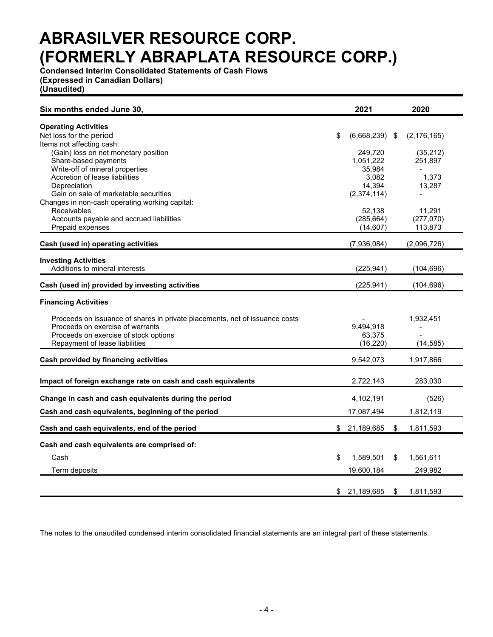**Condensed Interim Consolidated Statements of Cash Flows (Expressed in Canadian Dollars)**

**(Unaudited)**

| Six months ended June 30,                                                                                                                                | 2021                             |               | 2020                   |
|----------------------------------------------------------------------------------------------------------------------------------------------------------|----------------------------------|---------------|------------------------|
| <b>Operating Activities</b><br>Net loss for the period                                                                                                   | \$<br>$(6,668,239)$ \$           |               | (2, 176, 165)          |
| Items not affecting cash:<br>(Gain) loss on net monetary position<br>Share-based payments<br>Write-off of mineral properties                             | 249,720<br>1,051,222<br>35,984   |               | (35,212)<br>251,897    |
| Accretion of lease liabilities<br>Depreciation<br>Gain on sale of marketable securities                                                                  | 3.082<br>14,394<br>(2, 374, 114) |               | 1,373<br>13,287        |
| Changes in non-cash operating working capital:<br>Receivables<br>Accounts payable and accrued liabilities                                                | 52,138<br>(285, 664)             |               | 11,291<br>(277,070)    |
| Prepaid expenses<br>Cash (used in) operating activities                                                                                                  | (14, 607)<br>(7,936,084)         |               | 113,873<br>(2,096,726) |
| <b>Investing Activities</b><br>Additions to mineral interests                                                                                            | (225, 941)                       |               | (104, 696)             |
| Cash (used in) provided by investing activities                                                                                                          | (225, 941)                       |               | (104, 696)             |
| <b>Financing Activities</b>                                                                                                                              |                                  |               |                        |
| Proceeds on issuance of shares in private placements, net of issuance costs<br>Proceeds on exercise of warrants<br>Proceeds on exercise of stock options | 9,494,918<br>63,375              |               | 1,932,451              |
| Repayment of lease liabilities                                                                                                                           | (16, 220)                        |               | (14, 585)              |
| Cash provided by financing activities                                                                                                                    | 9,542,073                        |               | 1,917,866              |
| Impact of foreign exchange rate on cash and cash equivalents                                                                                             | 2,722,143                        |               | 283,030                |
| Change in cash and cash equivalents during the period                                                                                                    | 4,102,191                        |               | (526)                  |
| Cash and cash equivalents, beginning of the period                                                                                                       | 17,087,494                       |               | 1,812,119              |
| Cash and cash equivalents, end of the period                                                                                                             | \$<br>21,189,685                 | \$            | 1,811,593              |
| Cash and cash equivalents are comprised of:                                                                                                              |                                  |               |                        |
| Cash                                                                                                                                                     | \$<br>1,589,501                  | \$            | 1,561,611              |
| Term deposits                                                                                                                                            | 19,600,184                       |               | 249,982                |
|                                                                                                                                                          | \$ 21,189,685                    | $\frac{1}{2}$ | 1,811,593              |

The notes to the unaudited condensed interim consolidated financial statements are an integral part of these statements.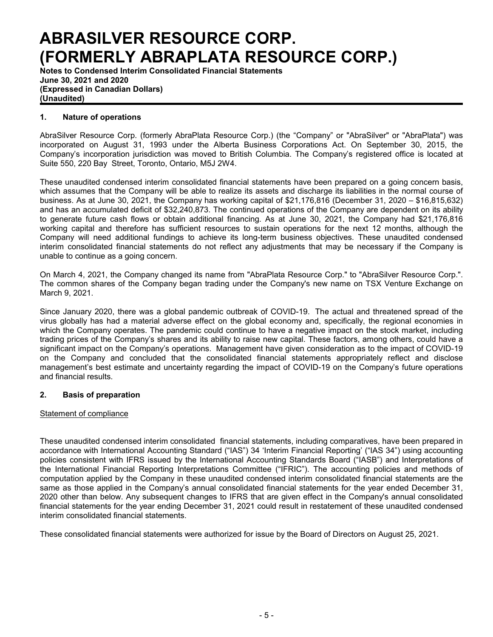**Notes to Condensed Interim Consolidated Financial Statements June 30, 2021 and 2020 (Expressed in Canadian Dollars) (Unaudited)**

### **1. Nature of operations**

AbraSilver Resource Corp. (formerly AbraPlata Resource Corp.) (the "Company" or "AbraSilver" or "AbraPlata") was incorporated on August 31, 1993 under the Alberta Business Corporations Act. On September 30, 2015, the Company's incorporation jurisdiction was moved to British Columbia. The Company's registered office is located at Suite 550, 220 Bay Street, Toronto, Ontario, M5J 2W4.

These unaudited condensed interim consolidated financial statements have been prepared on a going concern basis, which assumes that the Company will be able to realize its assets and discharge its liabilities in the normal course of business. As at June 30, 2021, the Company has working capital of \$21,176,816 (December 31, 2020 – \$16,815,632) and has an accumulated deficit of \$32,240,873. The continued operations of the Company are dependent on its ability to generate future cash flows or obtain additional financing. As at June 30, 2021, the Company had \$21,176,816 working capital and therefore has sufficient resources to sustain operations for the next 12 months, although the Company will need additional fundings to achieve its long-term business objectives. These unaudited condensed interim consolidated financial statements do not reflect any adjustments that may be necessary if the Company is unable to continue as a going concern.

On March 4, 2021, the Company changed its name from "AbraPlata Resource Corp." to "AbraSilver Resource Corp.". The common shares of the Company began trading under the Company's new name on TSX Venture Exchange on March 9, 2021.

Since January 2020, there was a global pandemic outbreak of COVID-19. The actual and threatened spread of the virus globally has had a material adverse effect on the global economy and, specifically, the regional economies in which the Company operates. The pandemic could continue to have a negative impact on the stock market, including trading prices of the Company's shares and its ability to raise new capital. These factors, among others, could have a significant impact on the Company's operations. Management have given consideration as to the impact of COVID-19 on the Company and concluded that the consolidated financial statements appropriately reflect and disclose management's best estimate and uncertainty regarding the impact of COVID-19 on the Company's future operations and financial results.

### **2. Basis of preparation**

### Statement of compliance

These unaudited condensed interim consolidated financial statements, including comparatives, have been prepared in accordance with International Accounting Standard ("IAS") 34 'Interim Financial Reporting' ("IAS 34") using accounting policies consistent with IFRS issued by the International Accounting Standards Board ("IASB") and Interpretations of the International Financial Reporting Interpretations Committee ("IFRIC"). The accounting policies and methods of computation applied by the Company in these unaudited condensed interim consolidated financial statements are the same as those applied in the Company's annual consolidated financial statements for the year ended December 31, 2020 other than below. Any subsequent changes to IFRS that are given effect in the Company's annual consolidated financial statements for the year ending December 31, 2021 could result in restatement of these unaudited condensed interim consolidated financial statements.

These consolidated financial statements were authorized for issue by the Board of Directors on August 25, 2021.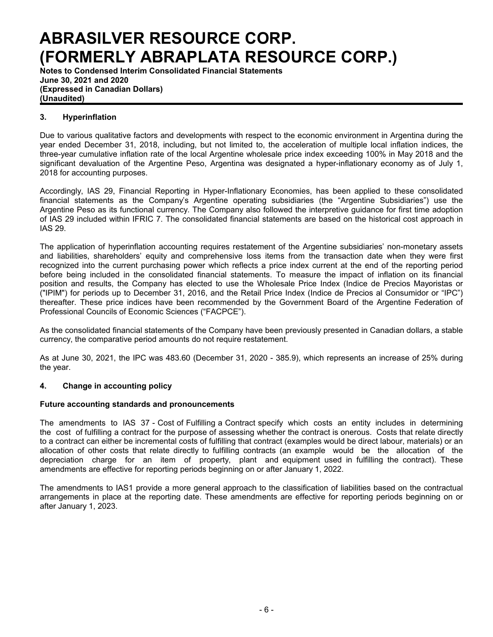**Notes to Condensed Interim Consolidated Financial Statements June 30, 2021 and 2020 (Expressed in Canadian Dollars) (Unaudited)**

## **3. Hyperinflation**

Due to various qualitative factors and developments with respect to the economic environment in Argentina during the year ended December 31, 2018, including, but not limited to, the acceleration of multiple local inflation indices, the three-year cumulative inflation rate of the local Argentine wholesale price index exceeding 100% in May 2018 and the significant devaluation of the Argentine Peso, Argentina was designated a hyper-inflationary economy as of July 1, 2018 for accounting purposes.

Accordingly, IAS 29, Financial Reporting in Hyper-Inflationary Economies, has been applied to these consolidated financial statements as the Company's Argentine operating subsidiaries (the "Argentine Subsidiaries") use the Argentine Peso as its functional currency. The Company also followed the interpretive guidance for first time adoption of IAS 29 included within IFRIC 7. The consolidated financial statements are based on the historical cost approach in IAS 29.

The application of hyperinflation accounting requires restatement of the Argentine subsidiaries' non-monetary assets and liabilities, shareholders' equity and comprehensive loss items from the transaction date when they were first recognized into the current purchasing power which reflects a price index current at the end of the reporting period before being included in the consolidated financial statements. To measure the impact of inflation on its financial position and results, the Company has elected to use the Wholesale Price Index (Indice de Precios Mayoristas or ("IPIM") for periods up to December 31, 2016, and the Retail Price Index (Indice de Precios al Consumidor or "IPC") thereafter. These price indices have been recommended by the Government Board of the Argentine Federation of Professional Councils of Economic Sciences ("FACPCE").

As the consolidated financial statements of the Company have been previously presented in Canadian dollars, a stable currency, the comparative period amounts do not require restatement.

As at June 30, 2021, the IPC was 483.60 (December 31, 2020 - 385.9), which represents an increase of 25% during the year.

## **4. Change in accounting policy**

### **Future accounting standards and pronouncements**

The amendments to IAS 37 - Cost of Fulfilling a Contract specify which costs an entity includes in determining the cost of fulfilling a contract for the purpose of assessing whether the contract is onerous. Costs that relate directly to a contract can either be incremental costs of fulfilling that contract (examples would be direct labour, materials) or an allocation of other costs that relate directly to fulfilling contracts (an example would be the allocation of the depreciation charge for an item of property, plant and equipment used in fulfilling the contract). These amendments are effective for reporting periods beginning on or after January 1, 2022.

The amendments to IAS1 provide a more general approach to the classification of liabilities based on the contractual arrangements in place at the reporting date. These amendments are effective for reporting periods beginning on or after January 1, 2023.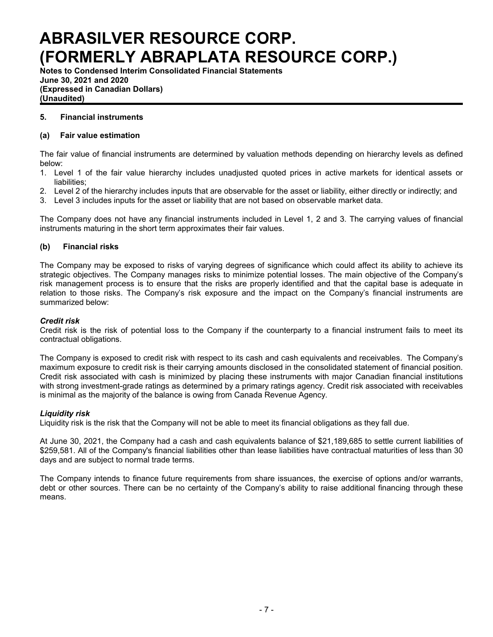**Notes to Condensed Interim Consolidated Financial Statements June 30, 2021 and 2020 (Expressed in Canadian Dollars) (Unaudited)**

### **5. Financial instruments**

### **(a) Fair value estimation**

The fair value of financial instruments are determined by valuation methods depending on hierarchy levels as defined below:

- 1. Level 1 of the fair value hierarchy includes unadjusted quoted prices in active markets for identical assets or liabilities;
- 2. Level 2 of the hierarchy includes inputs that are observable for the asset or liability, either directly or indirectly; and
- 3. Level 3 includes inputs for the asset or liability that are not based on observable market data.

The Company does not have any financial instruments included in Level 1, 2 and 3. The carrying values of financial instruments maturing in the short term approximates their fair values.

### **(b) Financial risks**

The Company may be exposed to risks of varying degrees of significance which could affect its ability to achieve its strategic objectives. The Company manages risks to minimize potential losses. The main objective of the Company's risk management process is to ensure that the risks are properly identified and that the capital base is adequate in relation to those risks. The Company's risk exposure and the impact on the Company's financial instruments are summarized below:

### *Credit risk*

Credit risk is the risk of potential loss to the Company if the counterparty to a financial instrument fails to meet its contractual obligations.

The Company is exposed to credit risk with respect to its cash and cash equivalents and receivables. The Company's maximum exposure to credit risk is their carrying amounts disclosed in the consolidated statement of financial position. Credit risk associated with cash is minimized by placing these instruments with major Canadian financial institutions with strong investment-grade ratings as determined by a primary ratings agency. Credit risk associated with receivables is minimal as the majority of the balance is owing from Canada Revenue Agency.

### *Liquidity risk*

Liquidity risk is the risk that the Company will not be able to meet its financial obligations as they fall due.

At June 30, 2021, the Company had a cash and cash equivalents balance of \$21,189,685 to settle current liabilities of \$259,581. All of the Company's financial liabilities other than lease liabilities have contractual maturities of less than 30 days and are subject to normal trade terms.

The Company intends to finance future requirements from share issuances, the exercise of options and/or warrants, debt or other sources. There can be no certainty of the Company's ability to raise additional financing through these means.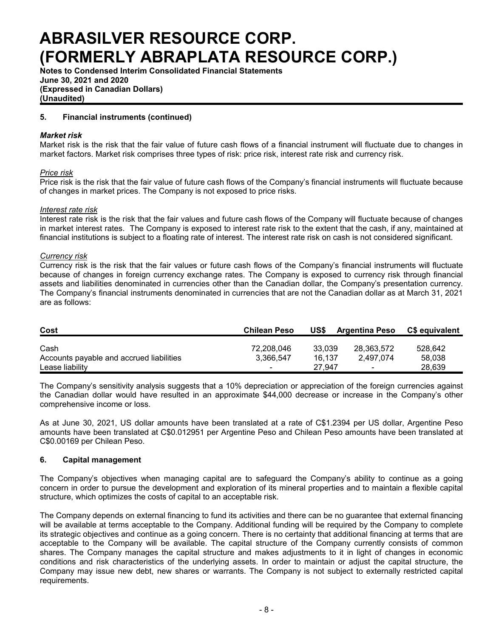**Notes to Condensed Interim Consolidated Financial Statements June 30, 2021 and 2020 (Expressed in Canadian Dollars) (Unaudited)**

### **5. Financial instruments (continued)**

### *Market risk*

Market risk is the risk that the fair value of future cash flows of a financial instrument will fluctuate due to changes in market factors. Market risk comprises three types of risk: price risk, interest rate risk and currency risk.

### *Price risk*

Price risk is the risk that the fair value of future cash flows of the Company's financial instruments will fluctuate because of changes in market prices. The Company is not exposed to price risks.

### *Interest rate risk*

Interest rate risk is the risk that the fair values and future cash flows of the Company will fluctuate because of changes in market interest rates. The Company is exposed to interest rate risk to the extent that the cash, if any, maintained at financial institutions is subject to a floating rate of interest. The interest rate risk on cash is not considered significant.

### *Currency risk*

Currency risk is the risk that the fair values or future cash flows of the Company's financial instruments will fluctuate because of changes in foreign currency exchange rates. The Company is exposed to currency risk through financial assets and liabilities denominated in currencies other than the Canadian dollar, the Company's presentation currency. The Company's financial instruments denominated in currencies that are not the Canadian dollar as at March 31, 2021 are as follows:

| Cost                                             | <b>Chilean Peso</b>      | US\$             | <b>Argentina Peso</b>    | C\$ equivalent    |
|--------------------------------------------------|--------------------------|------------------|--------------------------|-------------------|
| Cash<br>Accounts payable and accrued liabilities | 72.208.046<br>3.366.547  | 33.039<br>16.137 | 28.363.572<br>2.497.074  | 528.642<br>58,038 |
| Lease liability                                  | $\overline{\phantom{0}}$ | 27.947           | $\overline{\phantom{0}}$ | 28.639            |

The Company's sensitivity analysis suggests that a 10% depreciation or appreciation of the foreign currencies against the Canadian dollar would have resulted in an approximate \$44,000 decrease or increase in the Company's other comprehensive income or loss.

As at June 30, 2021, US dollar amounts have been translated at a rate of C\$1.2394 per US dollar, Argentine Peso amounts have been translated at C\$0.012951 per Argentine Peso and Chilean Peso amounts have been translated at C\$0.00169 per Chilean Peso.

### **6. Capital management**

The Company's objectives when managing capital are to safeguard the Company's ability to continue as a going concern in order to pursue the development and exploration of its mineral properties and to maintain a flexible capital structure, which optimizes the costs of capital to an acceptable risk.

The Company depends on external financing to fund its activities and there can be no guarantee that external financing will be available at terms acceptable to the Company. Additional funding will be required by the Company to complete its strategic objectives and continue as a going concern. There is no certainty that additional financing at terms that are acceptable to the Company will be available. The capital structure of the Company currently consists of common shares. The Company manages the capital structure and makes adjustments to it in light of changes in economic conditions and risk characteristics of the underlying assets. In order to maintain or adjust the capital structure, the Company may issue new debt, new shares or warrants. The Company is not subject to externally restricted capital requirements.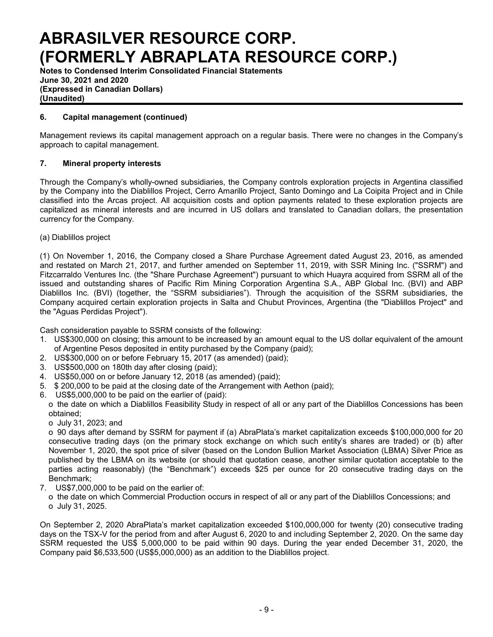**Notes to Condensed Interim Consolidated Financial Statements June 30, 2021 and 2020 (Expressed in Canadian Dollars) (Unaudited)**

## **6. Capital management (continued)**

Management reviews its capital management approach on a regular basis. There were no changes in the Company's approach to capital management.

## **7. Mineral property interests**

Through the Company's wholly-owned subsidiaries, the Company controls exploration projects in Argentina classified by the Company into the Diablillos Project, Cerro Amarillo Project, Santo Domingo and La Coipita Project and in Chile classified into the Arcas project. All acquisition costs and option payments related to these exploration projects are capitalized as mineral interests and are incurred in US dollars and translated to Canadian dollars, the presentation currency for the Company.

(a) Diablillos project

(1) On November 1, 2016, the Company closed a Share Purchase Agreement dated August 23, 2016, as amended and restated on March 21, 2017, and further amended on September 11, 2019, with SSR Mining Inc. ("SSRM") and Fitzcarraldo Ventures Inc. (the "Share Purchase Agreement") pursuant to which Huayra acquired from SSRM all of the issued and outstanding shares of Pacific Rim Mining Corporation Argentina S.A., ABP Global Inc. (BVI) and ABP Diablillos Inc. (BVI) (together, the "SSRM subsidiaries"). Through the acquisition of the SSRM subsidiaries, the Company acquired certain exploration projects in Salta and Chubut Provinces, Argentina (the "Diablillos Project" and the "Aguas Perdidas Project").

Cash consideration payable to SSRM consists of the following:

- 1. US\$300,000 on closing; this amount to be increased by an amount equal to the US dollar equivalent of the amount of Argentine Pesos deposited in entity purchased by the Company (paid);
- 2. US\$300,000 on or before February 15, 2017 (as amended) (paid);
- 3. US\$500,000 on 180th day after closing (paid);
- 4. US\$50,000 on or before January 12, 2018 (as amended) (paid);
- 5. \$ 200,000 to be paid at the closing date of the Arrangement with Aethon (paid);
- 6. US\$5,000,000 to be paid on the earlier of (paid):
- o the date on which a Diablillos Feasibility Study in respect of all or any part of the Diablillos Concessions has been obtained;
	- o July 31, 2023; and

o 90 days after demand by SSRM for payment if (a) AbraPlata's market capitalization exceeds \$100,000,000 for 20 consecutive trading days (on the primary stock exchange on which such entity's shares are traded) or (b) after November 1, 2020, the spot price of silver (based on the London Bullion Market Association (LBMA) Silver Price as published by the LBMA on its website (or should that quotation cease, another similar quotation acceptable to the parties acting reasonably) (the "Benchmark") exceeds \$25 per ounce for 20 consecutive trading days on the Benchmark;

- 7. US\$7,000,000 to be paid on the earlier of:
	- o the date on which Commercial Production occurs in respect of all or any part of the Diablillos Concessions; and o July 31, 2025.

On September 2, 2020 AbraPlata's market capitalization exceeded \$100,000,000 for twenty (20) consecutive trading days on the TSX-V for the period from and after August 6, 2020 to and including September 2, 2020. On the same day SSRM requested the US\$ 5,000,000 to be paid within 90 days. During the year ended December 31, 2020, the Company paid \$6,533,500 (US\$5,000,000) as an addition to the Diablillos project.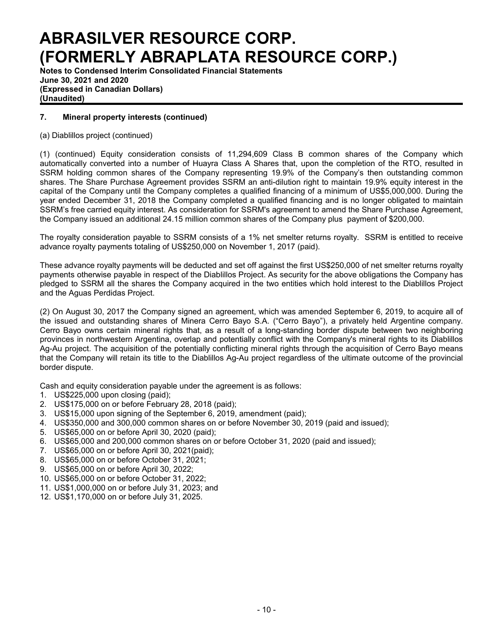**Notes to Condensed Interim Consolidated Financial Statements June 30, 2021 and 2020 (Expressed in Canadian Dollars) (Unaudited)**

## **7. Mineral property interests (continued)**

(a) Diablillos project (continued)

(1) (continued) Equity consideration consists of 11,294,609 Class B common shares of the Company which automatically converted into a number of Huayra Class A Shares that, upon the completion of the RTO, resulted in SSRM holding common shares of the Company representing 19.9% of the Company's then outstanding common shares. The Share Purchase Agreement provides SSRM an anti-dilution right to maintain 19.9% equity interest in the capital of the Company until the Company completes a qualified financing of a minimum of US\$5,000,000. During the year ended December 31, 2018 the Company completed a qualified financing and is no longer obligated to maintain SSRM's free carried equity interest. As consideration for SSRM's agreement to amend the Share Purchase Agreement, the Company issued an additional 24.15 million common shares of the Company plus payment of \$200,000.

The royalty consideration payable to SSRM consists of a 1% net smelter returns royalty. SSRM is entitled to receive advance royalty payments totaling of US\$250,000 on November 1, 2017 (paid).

These advance royalty payments will be deducted and set off against the first US\$250,000 of net smelter returns royalty payments otherwise payable in respect of the Diablillos Project. As security for the above obligations the Company has pledged to SSRM all the shares the Company acquired in the two entities which hold interest to the Diablillos Project and the Aguas Perdidas Project.

(2) On August 30, 2017 the Company signed an agreement, which was amended September 6, 2019, to acquire all of the issued and outstanding shares of Minera Cerro Bayo S.A. ("Cerro Bayo"), a privately held Argentine company. Cerro Bayo owns certain mineral rights that, as a result of a long-standing border dispute between two neighboring provinces in northwestern Argentina, overlap and potentially conflict with the Company's mineral rights to its Diablillos Ag-Au project. The acquisition of the potentially conflicting mineral rights through the acquisition of Cerro Bayo means that the Company will retain its title to the Diablillos Ag-Au project regardless of the ultimate outcome of the provincial border dispute.

Cash and equity consideration payable under the agreement is as follows:

- 1. US\$225,000 upon closing (paid);
- 2. US\$175,000 on or before February 28, 2018 (paid);
- 3. US\$15,000 upon signing of the September 6, 2019, amendment (paid);
- 4. US\$350,000 and 300,000 common shares on or before November 30, 2019 (paid and issued);
- 5. US\$65,000 on or before April 30, 2020 (paid);
- 6. US\$65,000 and 200,000 common shares on or before October 31, 2020 (paid and issued);
- 7. US\$65,000 on or before April 30, 2021(paid);
- 8. US\$65,000 on or before October 31, 2021;
- 9. US\$65,000 on or before April 30, 2022;
- 10. US\$65,000 on or before October 31, 2022;
- 11. US\$1,000,000 on or before July 31, 2023; and
- 12. US\$1,170,000 on or before July 31, 2025.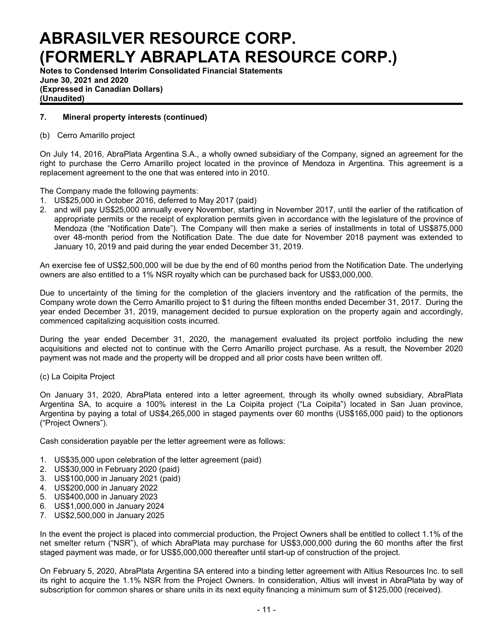**Notes to Condensed Interim Consolidated Financial Statements June 30, 2021 and 2020 (Expressed in Canadian Dollars) (Unaudited)**

### **7. Mineral property interests (continued)**

### (b) Cerro Amarillo project

On July 14, 2016, AbraPlata Argentina S.A., a wholly owned subsidiary of the Company, signed an agreement for the right to purchase the Cerro Amarillo project located in the province of Mendoza in Argentina. This agreement is a replacement agreement to the one that was entered into in 2010.

The Company made the following payments:

- 1. US\$25,000 in October 2016, deferred to May 2017 (paid)
- 2. and will pay US\$25,000 annually every November, starting in November 2017, until the earlier of the ratification of appropriate permits or the receipt of exploration permits given in accordance with the legislature of the province of Mendoza (the "Notification Date"). The Company will then make a series of installments in total of US\$875,000 over 48-month period from the Notification Date. The due date for November 2018 payment was extended to January 10, 2019 and paid during the year ended December 31, 2019.

An exercise fee of US\$2,500,000 will be due by the end of 60 months period from the Notification Date. The underlying owners are also entitled to a 1% NSR royalty which can be purchased back for US\$3,000,000.

Due to uncertainty of the timing for the completion of the glaciers inventory and the ratification of the permits, the Company wrote down the Cerro Amarillo project to \$1 during the fifteen months ended December 31, 2017. During the year ended December 31, 2019, management decided to pursue exploration on the property again and accordingly, commenced capitalizing acquisition costs incurred.

During the year ended December 31, 2020, the management evaluated its project portfolio including the new acquisitions and elected not to continue with the Cerro Amarillo project purchase. As a result, the November 2020 payment was not made and the property will be dropped and all prior costs have been written off.

### (c) La Coipita Project

On January 31, 2020, AbraPlata entered into a letter agreement, through its wholly owned subsidiary, AbraPlata Argentina SA, to acquire a 100% interest in the La Coipita project ("La Coipita") located in San Juan province, Argentina by paying a total of US\$4,265,000 in staged payments over 60 months (US\$165,000 paid) to the optionors ("Project Owners").

Cash consideration payable per the letter agreement were as follows:

- 1. US\$35,000 upon celebration of the letter agreement (paid)
- 2. US\$30,000 in February 2020 (paid)
- 3. US\$100,000 in January 2021 (paid)
- 4. US\$200,000 in January 2022
- 5. US\$400,000 in January 2023
- 6. US\$1,000,000 in January 2024
- 7. US\$2,500,000 in January 2025

In the event the project is placed into commercial production, the Project Owners shall be entitled to collect 1.1% of the net smelter return ("NSR"), of which AbraPlata may purchase for US\$3,000,000 during the 60 months after the first staged payment was made, or for US\$5,000,000 thereafter until start-up of construction of the project.

On February 5, 2020, AbraPlata Argentina SA entered into a binding letter agreement with Altius Resources Inc. to sell its right to acquire the 1.1% NSR from the Project Owners. In consideration, Altius will invest in AbraPlata by way of subscription for common shares or share units in its next equity financing a minimum sum of \$125,000 (received).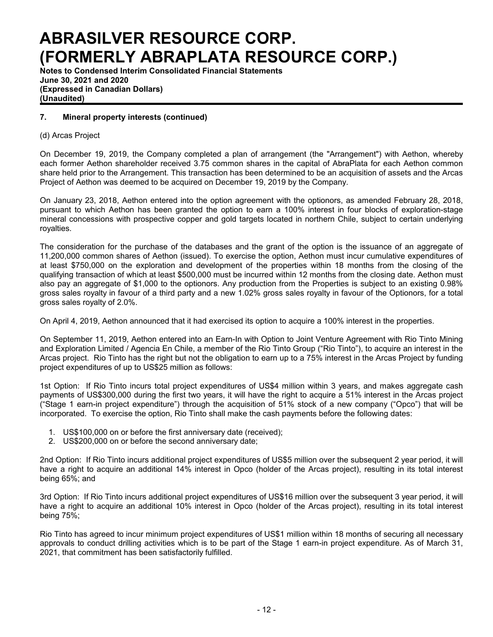**Notes to Condensed Interim Consolidated Financial Statements June 30, 2021 and 2020 (Expressed in Canadian Dollars) (Unaudited)**

### **7. Mineral property interests (continued)**

### (d) Arcas Project

On December 19, 2019, the Company completed a plan of arrangement (the "Arrangement") with Aethon, whereby each former Aethon shareholder received 3.75 common shares in the capital of AbraPlata for each Aethon common share held prior to the Arrangement. This transaction has been determined to be an acquisition of assets and the Arcas Project of Aethon was deemed to be acquired on December 19, 2019 by the Company.

On January 23, 2018, Aethon entered into the option agreement with the optionors, as amended February 28, 2018, pursuant to which Aethon has been granted the option to earn a 100% interest in four blocks of exploration-stage mineral concessions with prospective copper and gold targets located in northern Chile, subject to certain underlying royalties.

The consideration for the purchase of the databases and the grant of the option is the issuance of an aggregate of 11,200,000 common shares of Aethon (issued). To exercise the option, Aethon must incur cumulative expenditures of at least \$750,000 on the exploration and development of the properties within 18 months from the closing of the qualifying transaction of which at least \$500,000 must be incurred within 12 months from the closing date. Aethon must also pay an aggregate of \$1,000 to the optionors. Any production from the Properties is subject to an existing 0.98% gross sales royalty in favour of a third party and a new 1.02% gross sales royalty in favour of the Optionors, for a total gross sales royalty of 2.0%.

On April 4, 2019, Aethon announced that it had exercised its option to acquire a 100% interest in the properties.

On September 11, 2019, Aethon entered into an Earn-In with Option to Joint Venture Agreement with Rio Tinto Mining and Exploration Limited / Agencia En Chile, a member of the Rio Tinto Group ("Rio Tinto"), to acquire an interest in the Arcas project. Rio Tinto has the right but not the obligation to earn up to a 75% interest in the Arcas Project by funding project expenditures of up to US\$25 million as follows:

1st Option: If Rio Tinto incurs total project expenditures of US\$4 million within 3 years, and makes aggregate cash payments of US\$300,000 during the first two years, it will have the right to acquire a 51% interest in the Arcas project ("Stage 1 earn-in project expenditure") through the acquisition of 51% stock of a new company ("Opco") that will be incorporated. To exercise the option, Rio Tinto shall make the cash payments before the following dates:

- 1. US\$100,000 on or before the first anniversary date (received);
- 2. US\$200,000 on or before the second anniversary date;

2nd Option: If Rio Tinto incurs additional project expenditures of US\$5 million over the subsequent 2 year period, it will have a right to acquire an additional 14% interest in Opco (holder of the Arcas project), resulting in its total interest being 65%; and

3rd Option: If Rio Tinto incurs additional project expenditures of US\$16 million over the subsequent 3 year period, it will have a right to acquire an additional 10% interest in Opco (holder of the Arcas project), resulting in its total interest being 75%;

Rio Tinto has agreed to incur minimum project expenditures of US\$1 million within 18 months of securing all necessary approvals to conduct drilling activities which is to be part of the Stage 1 earn-in project expenditure. As of March 31, 2021, that commitment has been satisfactorily fulfilled.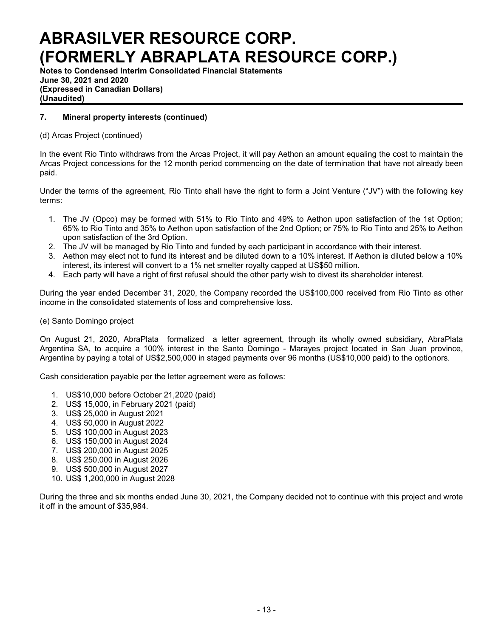**Notes to Condensed Interim Consolidated Financial Statements June 30, 2021 and 2020 (Expressed in Canadian Dollars) (Unaudited)**

## **7. Mineral property interests (continued)**

## (d) Arcas Project (continued)

In the event Rio Tinto withdraws from the Arcas Project, it will pay Aethon an amount equaling the cost to maintain the Arcas Project concessions for the 12 month period commencing on the date of termination that have not already been paid.

Under the terms of the agreement, Rio Tinto shall have the right to form a Joint Venture ("JV") with the following key terms:

- 1. The JV (Opco) may be formed with 51% to Rio Tinto and 49% to Aethon upon satisfaction of the 1st Option; 65% to Rio Tinto and 35% to Aethon upon satisfaction of the 2nd Option; or 75% to Rio Tinto and 25% to Aethon upon satisfaction of the 3rd Option.
- 2. The JV will be managed by Rio Tinto and funded by each participant in accordance with their interest.
- 3. Aethon may elect not to fund its interest and be diluted down to a 10% interest. If Aethon is diluted below a 10% interest, its interest will convert to a 1% net smelter royalty capped at US\$50 million.
- 4. Each party will have a right of first refusal should the other party wish to divest its shareholder interest.

During the year ended December 31, 2020, the Company recorded the US\$100,000 received from Rio Tinto as other income in the consolidated statements of loss and comprehensive loss.

### (e) Santo Domingo project

On August 21, 2020, AbraPlata formalized a letter agreement, through its wholly owned subsidiary, AbraPlata Argentina SA, to acquire a 100% interest in the Santo Domingo - Marayes project located in San Juan province, Argentina by paying a total of US\$2,500,000 in staged payments over 96 months (US\$10,000 paid) to the optionors.

Cash consideration payable per the letter agreement were as follows:

- 1. US\$10,000 before October 21,2020 (paid)
- 2. US\$ 15,000, in February 2021 (paid)
- 3. US\$ 25,000 in August 2021
- 4. US\$ 50,000 in August 2022
- 5. US\$ 100,000 in August 2023
- 6. US\$ 150,000 in August 2024
- 7. US\$ 200,000 in August 2025
- 8. US\$ 250,000 in August 2026
- 9. US\$ 500,000 in August 2027
- 10. US\$ 1,200,000 in August 2028

During the three and six months ended June 30, 2021, the Company decided not to continue with this project and wrote it off in the amount of \$35,984.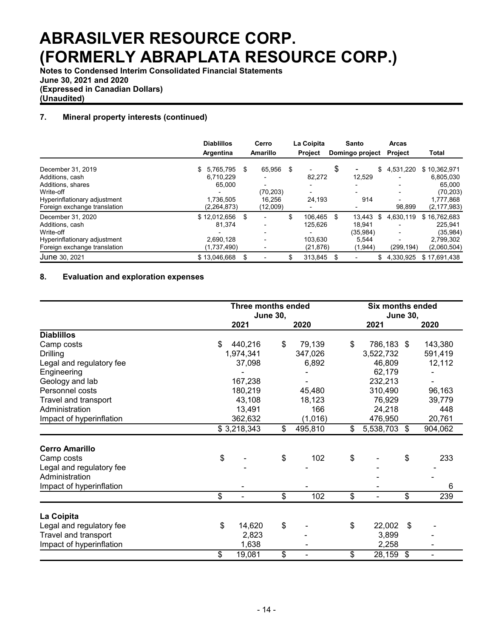**Notes to Condensed Interim Consolidated Financial Statements June 30, 2021 and 2020 (Expressed in Canadian Dollars) (Unaudited)**

## **7. Mineral property interests (continued)**

|                              | <b>Diablillos</b><br>Argentina | Cerro<br>Amarillo | La Coipita<br><b>Project</b> |     | Santo<br>Domingo project |    | <b>Arcas</b><br><b>Project</b> | <b>Total</b>  |
|------------------------------|--------------------------------|-------------------|------------------------------|-----|--------------------------|----|--------------------------------|---------------|
| December 31, 2019            | \$<br>5.765.795                | \$<br>65,956      | \$                           | \$  |                          | \$ | 4,531,220                      | \$10,362,971  |
| Additions, cash              | 6,710,229                      |                   | 82,272                       |     | 12,529                   |    |                                | 6,805,030     |
| Additions, shares            | 65.000                         |                   |                              |     |                          |    |                                | 65.000        |
| Write-off                    |                                | (70, 203)         |                              |     |                          |    |                                | (70, 203)     |
| Hyperinflationary adjustment | 1,736,505                      | 16.256            | 24,193                       |     | 914                      |    |                                | 1,777,868     |
| Foreign exchange translation | (2,264,873)                    | (12,009)          |                              |     |                          |    | 98,899                         | (2, 177, 983) |
| December 31, 2020            | \$12,012,656                   | \$                | \$<br>106.465                | \$. | 13.443                   | S  | 4.630.119                      | \$16,762,683  |
| Additions, cash              | 81,374                         |                   | 125,626                      |     | 18.941                   |    |                                | 225.941       |
| Write-off                    |                                |                   |                              |     | (35, 984)                |    |                                | (35, 984)     |
| Hyperinflationary adjustment | 2.690.128                      |                   | 103.630                      |     | 5,544                    |    |                                | 2,799,302     |
| Foreign exchange translation | (1,737,490)                    |                   | (21, 876)                    |     | (1,944)                  |    | (299, 194)                     | (2,060,504)   |
| June 30, 2021                | \$13.046.668                   | \$                | \$<br>313.845                | \$. |                          |    | 4.330.925                      | \$17.691.438  |

## **8. Evaluation and exploration expenses**

|                          | Three months ended<br><b>June 30,</b> |             |    |         |        | <b>Six months ended</b><br><b>June 30,</b> |    |         |  |
|--------------------------|---------------------------------------|-------------|----|---------|--------|--------------------------------------------|----|---------|--|
|                          |                                       | 2021        |    | 2020    |        | 2021                                       |    | 2020    |  |
| <b>Diablillos</b>        |                                       |             |    |         |        |                                            |    |         |  |
| Camp costs               | \$                                    | 440,216     | \$ | 79,139  | \$     | 786,183 \$                                 |    | 143,380 |  |
| <b>Drilling</b>          |                                       | 1,974,341   |    | 347,026 |        | 3,522,732                                  |    | 591,419 |  |
| Legal and regulatory fee |                                       | 37,098      |    | 6,892   |        | 46,809                                     |    | 12,112  |  |
| Engineering              |                                       |             |    |         |        | 62,179                                     |    |         |  |
| Geology and lab          |                                       | 167,238     |    |         |        | 232,213                                    |    |         |  |
| Personnel costs          |                                       | 180,219     |    | 45,480  |        | 310,490                                    |    | 96,163  |  |
| Travel and transport     |                                       | 43,108      |    | 18,123  |        | 76,929                                     |    | 39,779  |  |
| Administration           |                                       | 13,491      |    | 166     | 24,218 |                                            |    | 448     |  |
| Impact of hyperinflation |                                       | 362,632     |    | (1,016) |        | 476,950                                    |    | 20,761  |  |
|                          |                                       | \$3,218,343 | \$ | 495,810 | \$     | 5,538,703                                  | \$ | 904,062 |  |
| <b>Cerro Amarillo</b>    |                                       |             |    |         |        |                                            |    |         |  |
| Camp costs               | \$                                    |             | \$ | 102     | \$     |                                            | \$ | 233     |  |
| Legal and regulatory fee |                                       |             |    |         |        |                                            |    |         |  |
| Administration           |                                       |             |    |         |        |                                            |    |         |  |
| Impact of hyperinflation |                                       |             |    |         |        |                                            |    | 6       |  |
|                          | \$                                    |             | \$ | 102     | \$     |                                            | \$ | 239     |  |
| La Coipita               |                                       |             |    |         |        |                                            |    |         |  |
| Legal and regulatory fee | \$                                    | 14,620      | \$ |         | \$     | 22,002                                     | \$ |         |  |
| Travel and transport     |                                       | 2,823       |    |         |        | 3,899                                      |    |         |  |
| Impact of hyperinflation |                                       | 1,638       |    |         |        | 2,258                                      |    |         |  |
|                          | \$                                    | 19,081      | \$ |         | \$     | 28,159                                     | \$ |         |  |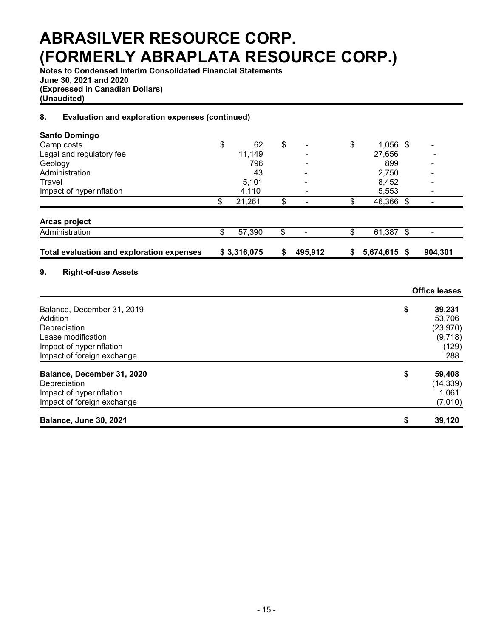**Notes to Condensed Interim Consolidated Financial Statements June 30, 2021 and 2020 (Expressed in Canadian Dollars) (Unaudited)**

## **8. Evaluation and exploration expenses (continued)**

| <b>Santo Domingo</b>                             |              |    |                          |                  |                            |                          |
|--------------------------------------------------|--------------|----|--------------------------|------------------|----------------------------|--------------------------|
| Camp costs                                       | \$<br>62     | \$ |                          | \$<br>$1,056$ \$ |                            |                          |
| Legal and regulatory fee                         | 11,149       |    |                          | 27,656           |                            |                          |
| Geology                                          | 796          |    |                          | 899              |                            |                          |
| Administration                                   | 43           |    |                          | 2,750            |                            |                          |
| Travel                                           | 5,101        |    |                          | 8,452            |                            |                          |
| Impact of hyperinflation                         | 4,110        |    |                          | 5,553            |                            |                          |
|                                                  | \$<br>21,261 | \$ |                          | \$<br>46,366 \$  |                            |                          |
| Arcas project                                    |              |    |                          |                  |                            |                          |
| Administration                                   | \$<br>57,390 | \$ | $\overline{\phantom{a}}$ | \$<br>61,387     | $\boldsymbol{\mathsf{\$}}$ | $\overline{\phantom{a}}$ |
| <b>Total evaluation and exploration expenses</b> | \$3,316,075  | S  | 495,912                  | \$<br>5,674,615  | \$                         | 904,301                  |
| <b>Right-of-use Assets</b><br>9.                 |              |    |                          |                  |                            |                          |
|                                                  |              |    |                          |                  |                            | <b>Office leases</b>     |
| Balance, December 31, 2019                       |              |    |                          |                  | \$                         | 39,231                   |
| Addition                                         |              |    |                          |                  |                            | 53,706                   |
| Depreciation                                     |              |    |                          |                  |                            | (23, 970)                |
| Lease modification                               |              |    |                          |                  |                            | (9,718)                  |
| Impact of hyperinflation                         |              |    |                          |                  |                            | (129)                    |
| Impact of foreign exchange                       |              |    |                          |                  |                            | 288                      |
| Balance, December 31, 2020                       |              |    |                          |                  | \$                         | 59,408                   |
| Depreciation                                     |              |    |                          |                  |                            | (14, 339)                |
| Impact of hyperinflation                         |              |    |                          |                  |                            | 1,061                    |
| Impact of foreign exchange                       |              |    |                          |                  |                            | (7,010)                  |
| <b>Balance, June 30, 2021</b>                    |              |    |                          |                  | \$                         | 39,120                   |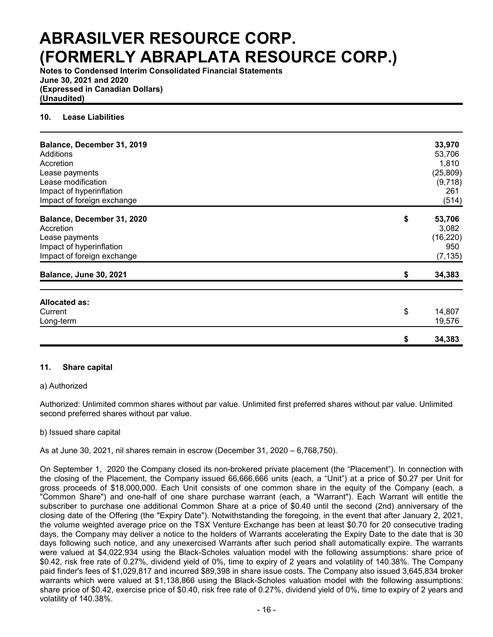**Notes to Condensed Interim Consolidated Financial Statements June 30, 2021 and 2020 (Expressed in Canadian Dollars) (Unaudited)**

### **10. Lease Liabilities**

| Balance, December 31, 2019<br>Additions<br>Accretion<br>Lease payments<br>Lease modification<br>Impact of hyperinflation<br>Impact of foreign exchange | 33,970<br>53,706<br>1,810<br>(25, 809)<br>(9,718)<br>261<br>(514) |
|--------------------------------------------------------------------------------------------------------------------------------------------------------|-------------------------------------------------------------------|
| Balance, December 31, 2020<br>Accretion<br>Lease payments<br>Impact of hyperinflation<br>Impact of foreign exchange                                    | \$<br>53,706<br>3,082<br>(16, 220)<br>950<br>(7, 135)             |
| <b>Balance, June 30, 2021</b>                                                                                                                          | \$<br>34,383                                                      |
| Allocated as:<br>Current<br>Long-term                                                                                                                  | \$<br>14,807<br>19,576                                            |
|                                                                                                                                                        | \$<br>34,383                                                      |

### **11. Share capital**

### a) Authorized

Authorized: Unlimited common shares without par value. Unlimited first preferred shares without par value. Unlimited second preferred shares without par value.

### b) Issued share capital

As at June 30, 2021, nil shares remain in escrow (December 31, 2020 – 6,768,750).

On September 1, 2020 the Company closed its non-brokered private placement (the "Placement"). In connection with the closing of the Placement, the Company issued 66,666,666 units (each, a "Unit") at a price of \$0.27 per Unit for gross proceeds of \$18,000,000. Each Unit consists of one common share in the equity of the Company (each, a "Common Share") and one-half of one share purchase warrant (each, a "Warrant"). Each Warrant will entitle the subscriber to purchase one additional Common Share at a price of \$0.40 until the second (2nd) anniversary of the closing date of the Offering (the "Expiry Date"). Notwithstanding the foregoing, in the event that after January 2, 2021, the volume weighted average price on the TSX Venture Exchange has been at least \$0.70 for 20 consecutive trading days, the Company may deliver a notice to the holders of Warrants accelerating the Expiry Date to the date that is 30 days following such notice, and any unexercised Warrants after such period shall automatically expire. The warrants were valued at \$4,022,934 using the Black-Scholes valuation model with the following assumptions: share price of \$0.42, risk free rate of 0.27%, dividend yield of 0%, time to expiry of 2 years and volatility of 140.38%. The Company paid finder's fees of \$1,029,817 and incurred \$89,398 in share issue costs. The Company also issued 3,645,834 broker warrants which were valued at \$1,138,866 using the Black-Scholes valuation model with the following assumptions: share price of \$0.42, exercise price of \$0.40, risk free rate of 0.27%, dividend yield of 0%, time to expiry of 2 years and volatility of 140.38%.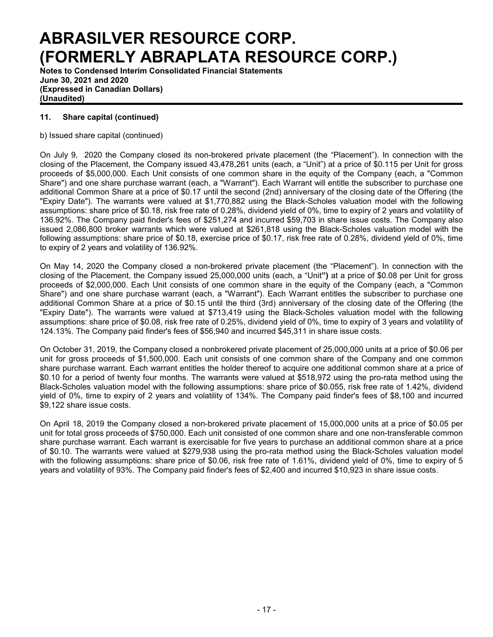**Notes to Condensed Interim Consolidated Financial Statements June 30, 2021 and 2020 (Expressed in Canadian Dollars) (Unaudited)**

## **11. Share capital (continued)**

b) Issued share capital (continued)

On July 9, 2020 the Company closed its non-brokered private placement (the "Placement"). In connection with the closing of the Placement, the Company issued 43,478,261 units (each, a "Unit") at a price of \$0.115 per Unit for gross proceeds of \$5,000,000. Each Unit consists of one common share in the equity of the Company (each, a "Common Share") and one share purchase warrant (each, a "Warrant"). Each Warrant will entitle the subscriber to purchase one additional Common Share at a price of \$0.17 until the second (2nd) anniversary of the closing date of the Offering (the "Expiry Date"). The warrants were valued at \$1,770,882 using the Black-Scholes valuation model with the following assumptions: share price of \$0.18, risk free rate of 0.28%, dividend yield of 0%, time to expiry of 2 years and volatility of 136.92%. The Company paid finder's fees of \$251,274 and incurred \$59,703 in share issue costs. The Company also issued 2,086,800 broker warrants which were valued at \$261,818 using the Black-Scholes valuation model with the following assumptions: share price of \$0.18, exercise price of \$0.17, risk free rate of 0.28%, dividend yield of 0%, time to expiry of 2 years and volatility of 136.92%.

On May 14, 2020 the Company closed a non-brokered private placement (the "Placement"). In connection with the closing of the Placement, the Company issued 25,000,000 units (each, a "Unit**")** at a price of \$0.08 per Unit for gross proceeds of \$2,000,000. Each Unit consists of one common share in the equity of the Company (each, a "Common Share") and one share purchase warrant (each, a "Warrant"). Each Warrant entitles the subscriber to purchase one additional Common Share at a price of \$0.15 until the third (3rd) anniversary of the closing date of the Offering (the "Expiry Date"). The warrants were valued at \$713,419 using the Black-Scholes valuation model with the following assumptions: share price of \$0.08, risk free rate of 0.25%, dividend yield of 0%, time to expiry of 3 years and volatility of 124.13%. The Company paid finder's fees of \$56,940 and incurred \$45,311 in share issue costs.

On October 31, 2019, the Company closed a nonbrokered private placement of 25,000,000 units at a price of \$0.06 per unit for gross proceeds of \$1,500,000. Each unit consists of one common share of the Company and one common share purchase warrant. Each warrant entitles the holder thereof to acquire one additional common share at a price of \$0.10 for a period of twenty four months. The warrants were valued at \$518,972 using the pro-rata method using the Black-Scholes valuation model with the following assumptions: share price of \$0.055, risk free rate of 1.42%, dividend yield of 0%, time to expiry of 2 years and volatility of 134%. The Company paid finder's fees of \$8,100 and incurred \$9,122 share issue costs.

On April 18, 2019 the Company closed a non-brokered private placement of 15,000,000 units at a price of \$0.05 per unit for total gross proceeds of \$750,000. Each unit consisted of one common share and one non-transferable common share purchase warrant. Each warrant is exercisable for five years to purchase an additional common share at a price of \$0.10. The warrants were valued at \$279,938 using the pro-rata method using the Black-Scholes valuation model with the following assumptions: share price of \$0.06, risk free rate of 1.61%, dividend yield of 0%, time to expiry of 5 years and volatility of 93%. The Company paid finder's fees of \$2,400 and incurred \$10,923 in share issue costs.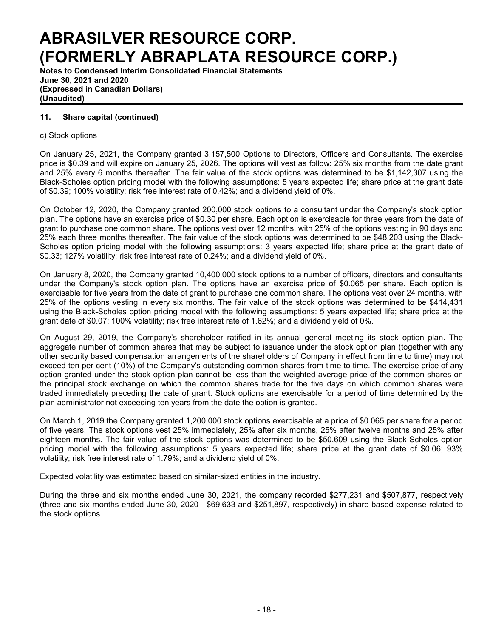**Notes to Condensed Interim Consolidated Financial Statements June 30, 2021 and 2020 (Expressed in Canadian Dollars) (Unaudited)**

## **11. Share capital (continued)**

### c) Stock options

On January 25, 2021, the Company granted 3,157,500 Options to Directors, Officers and Consultants. The exercise price is \$0.39 and will expire on January 25, 2026. The options will vest as follow: 25% six months from the date grant and 25% every 6 months thereafter. The fair value of the stock options was determined to be \$1,142,307 using the Black-Scholes option pricing model with the following assumptions: 5 years expected life; share price at the grant date of \$0.39; 100% volatility; risk free interest rate of 0.42%; and a dividend yield of 0%.

On October 12, 2020, the Company granted 200,000 stock options to a consultant under the Company's stock option plan. The options have an exercise price of \$0.30 per share. Each option is exercisable for three years from the date of grant to purchase one common share. The options vest over 12 months, with 25% of the options vesting in 90 days and 25% each three months thereafter. The fair value of the stock options was determined to be \$48,203 using the Black-Scholes option pricing model with the following assumptions: 3 years expected life; share price at the grant date of \$0.33; 127% volatility; risk free interest rate of 0.24%; and a dividend yield of 0%.

On January 8, 2020, the Company granted 10,400,000 stock options to a number of officers, directors and consultants under the Company's stock option plan. The options have an exercise price of \$0.065 per share. Each option is exercisable for five years from the date of grant to purchase one common share. The options vest over 24 months, with 25% of the options vesting in every six months. The fair value of the stock options was determined to be \$414,431 using the Black-Scholes option pricing model with the following assumptions: 5 years expected life; share price at the grant date of \$0.07; 100% volatility; risk free interest rate of 1.62%; and a dividend yield of 0%.

On August 29, 2019, the Company's shareholder ratified in its annual general meeting its stock option plan. The aggregate number of common shares that may be subject to issuance under the stock option plan (together with any other security based compensation arrangements of the shareholders of Company in effect from time to time) may not exceed ten per cent (10%) of the Company's outstanding common shares from time to time. The exercise price of any option granted under the stock option plan cannot be less than the weighted average price of the common shares on the principal stock exchange on which the common shares trade for the five days on which common shares were traded immediately preceding the date of grant. Stock options are exercisable for a period of time determined by the plan administrator not exceeding ten years from the date the option is granted.

On March 1, 2019 the Company granted 1,200,000 stock options exercisable at a price of \$0.065 per share for a period of five years. The stock options vest 25% immediately, 25% after six months, 25% after twelve months and 25% after eighteen months. The fair value of the stock options was determined to be \$50,609 using the Black-Scholes option pricing model with the following assumptions: 5 years expected life; share price at the grant date of \$0.06; 93% volatility; risk free interest rate of 1.79%; and a dividend yield of 0%.

Expected volatility was estimated based on similar-sized entities in the industry.

During the three and six months ended June 30, 2021, the company recorded \$277,231 and \$507,877, respectively (three and six months ended June 30, 2020 - \$69,633 and \$251,897, respectively) in share-based expense related to the stock options.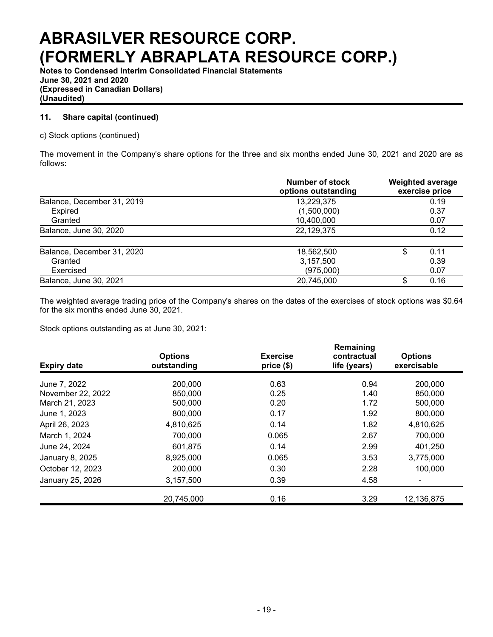**Notes to Condensed Interim Consolidated Financial Statements June 30, 2021 and 2020 (Expressed in Canadian Dollars) (Unaudited)**

## **11. Share capital (continued)**

c) Stock options (continued)

The movement in the Company's share options for the three and six months ended June 30, 2021 and 2020 are as follows:

|                            | Number of stock<br>options outstanding | <b>Weighted average</b><br>exercise price |
|----------------------------|----------------------------------------|-------------------------------------------|
| Balance, December 31, 2019 | 13,229,375                             | 0.19                                      |
| Expired                    | (1,500,000)                            | 0.37                                      |
| Granted                    | 10,400,000                             | 0.07                                      |
| Balance, June 30, 2020     | 22,129,375                             | 0.12                                      |
| Balance, December 31, 2020 | 18,562,500                             | \$<br>0.11                                |
| Granted                    | 3,157,500                              | 0.39                                      |
| Exercised                  | (975,000)                              | 0.07                                      |
| Balance, June 30, 2021     | 20,745,000                             | \$<br>0.16                                |

The weighted average trading price of the Company's shares on the dates of the exercises of stock options was \$0.64 for the six months ended June 30, 2021.

Stock options outstanding as at June 30, 2021:

| <b>Expiry date</b> | <b>Options</b><br>outstanding | <b>Exercise</b><br>price (\$) | Remaining<br>contractual<br>life (years) | <b>Options</b><br>exercisable |
|--------------------|-------------------------------|-------------------------------|------------------------------------------|-------------------------------|
| June 7, 2022       | 200,000                       | 0.63                          | 0.94                                     | 200,000                       |
| November 22, 2022  | 850,000                       | 0.25                          | 1.40                                     | 850,000                       |
| March 21, 2023     | 500,000                       | 0.20                          | 1.72                                     | 500,000                       |
| June 1, 2023       | 800,000                       | 0.17                          | 1.92                                     | 800,000                       |
| April 26, 2023     | 4,810,625                     | 0.14                          | 1.82                                     | 4,810,625                     |
| March 1, 2024      | 700,000                       | 0.065                         | 2.67                                     | 700,000                       |
| June 24, 2024      | 601,875                       | 0.14                          | 2.99                                     | 401,250                       |
| January 8, 2025    | 8,925,000                     | 0.065                         | 3.53                                     | 3,775,000                     |
| October 12, 2023   | 200,000                       | 0.30                          | 2.28                                     | 100,000                       |
| January 25, 2026   | 3,157,500                     | 0.39                          | 4.58                                     |                               |
|                    | 20,745,000                    | 0.16                          | 3.29                                     | 12,136,875                    |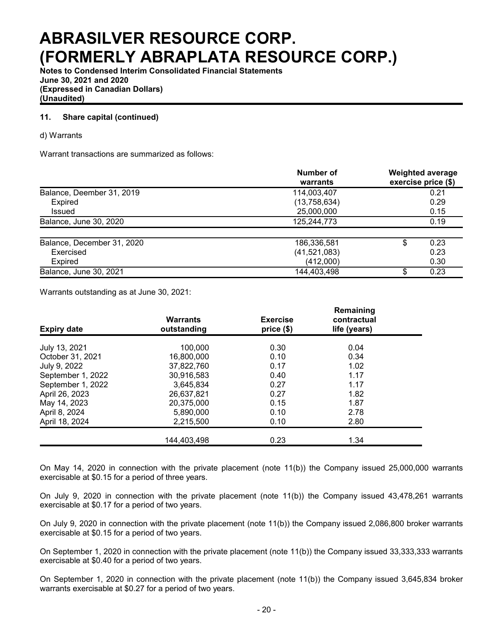**Notes to Condensed Interim Consolidated Financial Statements June 30, 2021 and 2020 (Expressed in Canadian Dollars) (Unaudited)**

## **11. Share capital (continued)**

### d) Warrants

Warrant transactions are summarized as follows:

|                            | Number of<br>warrants | <b>Weighted average</b><br>exercise price (\$) |
|----------------------------|-----------------------|------------------------------------------------|
| Balance, Deember 31, 2019  | 114,003,407           | 0.21                                           |
| Expired                    | (13, 758, 634)        | 0.29                                           |
| Issued                     | 25,000,000            | 0.15                                           |
| Balance, June 30, 2020     | 125,244,773           | 0.19                                           |
| Balance, December 31, 2020 | 186,336,581           | 0.23<br>\$                                     |
| Exercised                  | (41,521,083)          | 0.23                                           |
| <b>Expired</b>             | (412,000)             | 0.30                                           |
| Balance, June 30, 2021     | 144,403,498           | 0.23                                           |

Warrants outstanding as at June 30, 2021:

| <b>Expiry date</b> | <b>Warrants</b><br>outstanding | <b>Exercise</b><br>price(\$) | Remaining<br>contractual<br>life (years) |  |
|--------------------|--------------------------------|------------------------------|------------------------------------------|--|
| July 13, 2021      | 100.000                        | 0.30                         | 0.04                                     |  |
| October 31, 2021   | 16,800,000                     | 0.10                         | 0.34                                     |  |
| July 9, 2022       | 37,822,760                     | 0.17                         | 1.02                                     |  |
| September 1, 2022  | 30,916,583                     | 0.40                         | 1.17                                     |  |
| September 1, 2022  | 3,645,834                      | 0.27                         | 1.17                                     |  |
| April 26, 2023     | 26,637,821                     | 0.27                         | 1.82                                     |  |
| May 14, 2023       | 20,375,000                     | 0.15                         | 1.87                                     |  |
| April 8, 2024      | 5,890,000                      | 0.10                         | 2.78                                     |  |
| April 18, 2024     | 2,215,500                      | 0.10                         | 2.80                                     |  |
|                    | 144,403,498                    | 0.23                         | 1.34                                     |  |

On May 14, 2020 in connection with the private placement (note 11(b)) the Company issued 25,000,000 warrants exercisable at \$0.15 for a period of three years.

On July 9, 2020 in connection with the private placement (note 11(b)) the Company issued 43,478,261 warrants exercisable at \$0.17 for a period of two years.

On July 9, 2020 in connection with the private placement (note 11(b)) the Company issued 2,086,800 broker warrants exercisable at \$0.15 for a period of two years.

On September 1, 2020 in connection with the private placement (note 11(b)) the Company issued 33,333,333 warrants exercisable at \$0.40 for a period of two years.

On September 1, 2020 in connection with the private placement (note 11(b)) the Company issued 3,645,834 broker warrants exercisable at \$0.27 for a period of two years.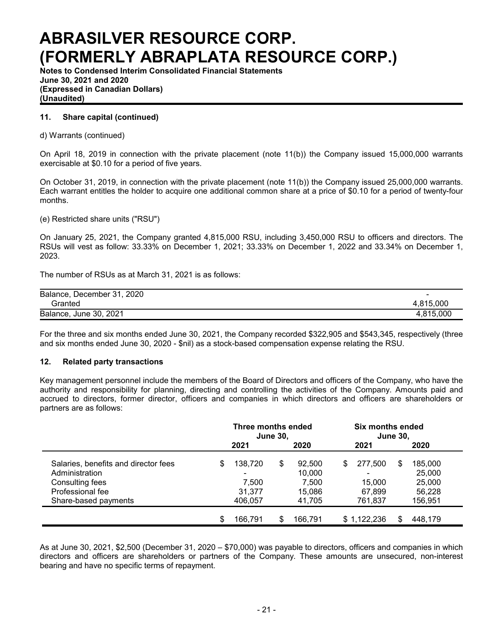**Notes to Condensed Interim Consolidated Financial Statements June 30, 2021 and 2020 (Expressed in Canadian Dollars) (Unaudited)**

### **11. Share capital (continued)**

d) Warrants (continued)

On April 18, 2019 in connection with the private placement (note 11(b)) the Company issued 15,000,000 warrants exercisable at \$0.10 for a period of five years.

On October 31, 2019, in connection with the private placement (note 11(b)) the Company issued 25,000,000 warrants. Each warrant entitles the holder to acquire one additional common share at a price of \$0.10 for a period of twenty-four months.

(e) Restricted share units ("RSU")

On January 25, 2021, the Company granted 4,815,000 RSU, including 3,450,000 RSU to officers and directors. The RSUs will vest as follow: 33.33% on December 1, 2021; 33.33% on December 1, 2022 and 33.34% on December 1, 2023.

The number of RSUs as at March 31, 2021 is as follows:

| Balance, December 31, 2020 | $\overline{\phantom{0}}$ |
|----------------------------|--------------------------|
| Granted                    | 4.815.000                |
| Balance, June 30, 2021     | 4.815.000                |

For the three and six months ended June 30, 2021, the Company recorded \$322,905 and \$543,345, respectively (three and six months ended June 30, 2020 - \$nil) as a stock-based compensation expense relating the RSU.

### **12. Related party transactions**

Key management personnel include the members of the Board of Directors and officers of the Company, who have the authority and responsibility for planning, directing and controlling the activities of the Company. Amounts paid and accrued to directors, former director, officers and companies in which directors and officers are shareholders or partners are as follows:

|                                      | Three months ended<br><b>June 30,</b> |         |      |         |      | Six months ended<br><b>June 30,</b> |      |         |  |  |
|--------------------------------------|---------------------------------------|---------|------|---------|------|-------------------------------------|------|---------|--|--|
|                                      | 2021                                  |         | 2020 |         | 2021 |                                     | 2020 |         |  |  |
| Salaries, benefits and director fees | S                                     | 138,720 | \$   | 92,500  | S    | 277,500                             | \$   | 185,000 |  |  |
| Administration                       |                                       |         |      | 10,000  |      |                                     |      | 25,000  |  |  |
| Consulting fees                      |                                       | 7.500   |      | 7,500   |      | 15.000                              |      | 25,000  |  |  |
| Professional fee                     |                                       | 31.377  |      | 15,086  |      | 67,899                              |      | 56,228  |  |  |
| Share-based payments                 |                                       | 406,057 |      | 41,705  |      | 761,837                             |      | 156,951 |  |  |
|                                      | \$                                    | 166.791 | \$   | 166,791 |      | \$1,122,236                         | S.   | 448.179 |  |  |

As at June 30, 2021, \$2,500 (December 31, 2020 – \$70,000) was payable to directors, officers and companies in which directors and officers are shareholders or partners of the Company. These amounts are unsecured, non-interest bearing and have no specific terms of repayment.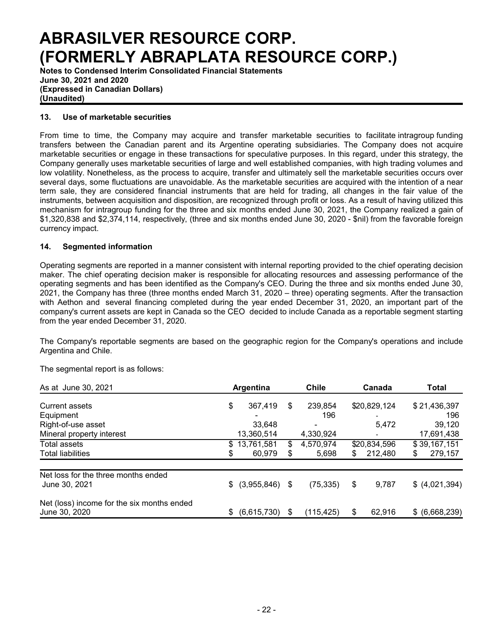**Notes to Condensed Interim Consolidated Financial Statements June 30, 2021 and 2020 (Expressed in Canadian Dollars) (Unaudited)**

### **13. Use of marketable securities**

From time to time, the Company may acquire and transfer marketable securities to facilitate intragroup funding transfers between the Canadian parent and its Argentine operating subsidiaries. The Company does not acquire marketable securities or engage in these transactions for speculative purposes. In this regard, under this strategy, the Company generally uses marketable securities of large and well established companies, with high trading volumes and low volatility. Nonetheless, as the process to acquire, transfer and ultimately sell the marketable securities occurs over several days, some fluctuations are unavoidable. As the marketable securities are acquired with the intention of a near term sale, they are considered financial instruments that are held for trading, all changes in the fair value of the instruments, between acquisition and disposition, are recognized through profit or loss. As a result of having utilized this mechanism for intragroup funding for the three and six months ended June 30, 2021, the Company realized a gain of \$1,320,838 and \$2,374,114, respectively, (three and six months ended June 30, 2020 - \$nil) from the favorable foreign currency impact.

### **14. Segmented information**

Operating segments are reported in a manner consistent with internal reporting provided to the chief operating decision maker. The chief operating decision maker is responsible for allocating resources and assessing performance of the operating segments and has been identified as the Company's CEO. During the three and six months ended June 30, 2021, the Company has three (three months ended March 31, 2020 – three) operating segments. After the transaction with Aethon and several financing completed during the year ended December 31, 2020, an important part of the company's current assets are kept in Canada so the CEO decided to include Canada as a reportable segment starting from the year ended December 31, 2020.

The Company's reportable segments are based on the geographic region for the Company's operations and include Argentina and Chile.

The segmental report is as follows:

| As at June 30, 2021                                  | Argentina |             |    | <b>Chile</b> | Canada |              | Total |                |
|------------------------------------------------------|-----------|-------------|----|--------------|--------|--------------|-------|----------------|
| Current assets                                       | \$        | 367,419     | \$ | 239,854      |        | \$20,829,124 |       | \$21,436,397   |
| Equipment                                            |           |             |    | 196          |        | ٠            |       | 196            |
| Right-of-use asset                                   |           | 33,648      |    | -            |        | 5,472        |       | 39,120         |
| Mineral property interest                            |           | 13,360,514  |    | 4,330,924    |        | ۰.           |       | 17,691,438     |
| Total assets                                         | \$.       | 13,761,581  | \$ | 4,570,974    |        | \$20,834,596 |       | \$39,167,151   |
| <b>Total liabilities</b>                             | \$        | 60,979      | \$ | 5,698        | \$     | 212,480      | \$    | 279,157        |
| Net loss for the three months ended<br>June 30, 2021 |           |             | \$ |              | \$     |              |       |                |
|                                                      | \$        | (3,955,846) |    | (75, 335)    |        | 9,787        |       | \$ (4,021,394) |
| Net (loss) income for the six months ended           |           |             |    |              |        |              |       |                |
| June 30, 2020                                        | \$.       | (6,615,730) | S  | (115, 425)   |        | 62,916       |       | \$ (6,668,239) |